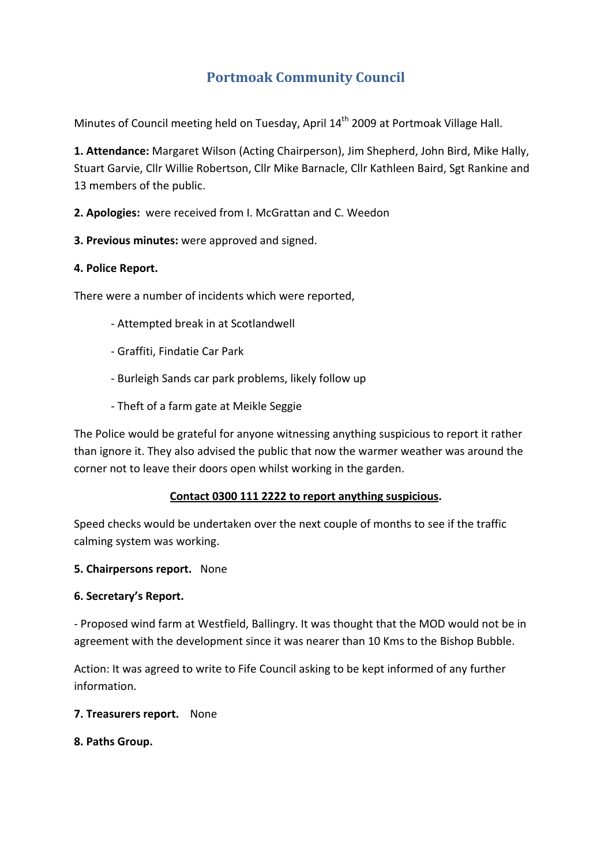# **Portmoak Community Council**

Minutes of Council meeting held on Tuesday, April 14<sup>th</sup> 2009 at Portmoak Village Hall.

**1. Attendance:** Margaret Wilson (Acting Chairperson), Jim Shepherd, John Bird, Mike Hally, Stuart Garvie, Cllr Willie Robertson, Cllr Mike Barnacle, Cllr Kathleen Baird, Sgt Rankine and 13 members of the public.

**2. Apologies:** were received from I. McGrattan and C. Weedon

**3. Previous minutes:** were approved and signed.

#### **4. Police Report.**

There were a number of incidents which were reported,

- ‐ Attempted break in at Scotlandwell
- ‐ Graffiti, Findatie Car Park
- ‐ Burleigh Sands car park problems, likely follow up
- ‐ Theft of a farm gate at Meikle Seggie

The Police would be grateful for anyone witnessing anything suspicious to report it rather than ignore it. They also advised the public that now the warmer weather was around the corner not to leave their doors open whilst working in the garden.

#### **Contact 0300 111 2222 to report anything suspicious.**

Speed checks would be undertaken over the next couple of months to see if the traffic calming system was working.

#### **5. Chairpersons report.** None

#### **6. Secretary's Report.**

‐ Proposed wind farm at Westfield, Ballingry. It was thought that the MOD would not be in agreement with the development since it was nearer than 10 Kms to the Bishop Bubble.

Action: It was agreed to write to Fife Council asking to be kept informed of any further information.

**7. Treasurers report.** None

**8. Paths Group.**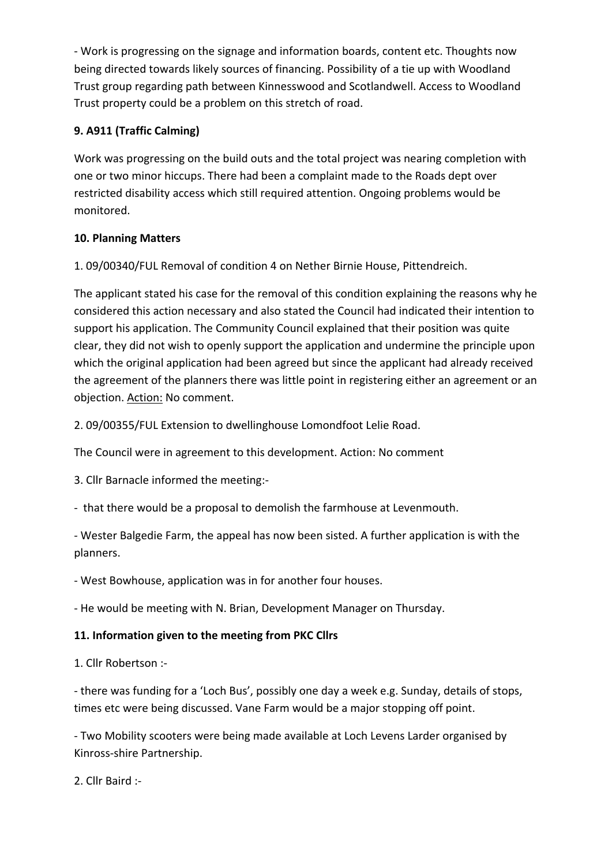‐ Work is progressing on the signage and information boards, content etc. Thoughts now being directed towards likely sources of financing. Possibility of a tie up with Woodland Trust group regarding path between Kinnesswood and Scotlandwell. Access to Woodland Trust property could be a problem on this stretch of road.

# **9. A911 (Traffic Calming)**

Work was progressing on the build outs and the total project was nearing completion with one or two minor hiccups. There had been a complaint made to the Roads dept over restricted disability access which still required attention. Ongoing problems would be monitored.

## **10. Planning Matters**

1. 09/00340/FUL Removal of condition 4 on Nether Birnie House, Pittendreich.

The applicant stated his case for the removal of this condition explaining the reasons why he considered this action necessary and also stated the Council had indicated their intention to support his application. The Community Council explained that their position was quite clear, they did not wish to openly support the application and undermine the principle upon which the original application had been agreed but since the applicant had already received the agreement of the planners there was little point in registering either an agreement or an objection. Action: No comment.

2. 09/00355/FUL Extension to dwellinghouse Lomondfoot Lelie Road.

The Council were in agreement to this development. Action: No comment

3. Cllr Barnacle informed the meeting:‐

‐ that there would be a proposal to demolish the farmhouse at Levenmouth.

‐ Wester Balgedie Farm, the appeal has now been sisted. A further application is with the planners.

‐ West Bowhouse, application was in for another four houses.

‐ He would be meeting with N. Brian, Development Manager on Thursday.

## **11. Information given to the meeting from PKC Cllrs**

1. Cllr Robertson :‐

‐ there was funding for a 'Loch Bus', possibly one day a week e.g. Sunday, details of stops, times etc were being discussed. Vane Farm would be a major stopping off point.

‐ Two Mobility scooters were being made available at Loch Levens Larder organised by Kinross‐shire Partnership.

2. Cllr Baird :‐